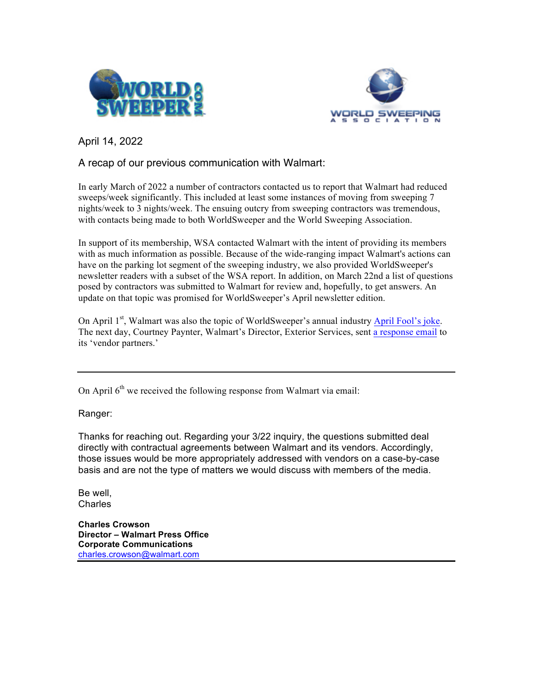



April 14, 2022

## A recap of our previous communication with Walmart:

In early March of 2022 a number of contractors contacted us to report that Walmart had reduced sweeps/week significantly. This included at least some instances of moving from sweeping 7 nights/week to 3 nights/week. The ensuing outcry from sweeping contractors was tremendous, with contacts being made to both WorldSweeper and the World Sweeping Association.

In support of its membership, WSA contacted Walmart with the intent of providing its members with as much information as possible. Because of the wide-ranging impact Walmart's actions can have on the parking lot segment of the sweeping industry, we also provided WorldSweeper's newsletter readers with a subset of the WSA report. In addition, on March 22nd a list of questions posed by contractors was submitted to Walmart for review and, hopefully, to get answers. An update on that topic was promised for WorldSweeper's April newsletter edition.

On April 1<sup>st</sup>, Walmart was also the topic of WorldSweeper's annual industry April Fool's joke. The next day, Courtney Paynter, Walmart's Director, Exterior Services, sent a response email to its 'vendor partners.'

On April  $6<sup>th</sup>$  we received the following response from Walmart via email:

Ranger:

Thanks for reaching out. Regarding your 3/22 inquiry, the questions submitted deal directly with contractual agreements between Walmart and its vendors. Accordingly, those issues would be more appropriately addressed with vendors on a case-by-case basis and are not the type of matters we would discuss with members of the media.

Be well, Charles

**Charles Crowson Director – Walmart Press Office Corporate Communications** charles.crowson@walmart.com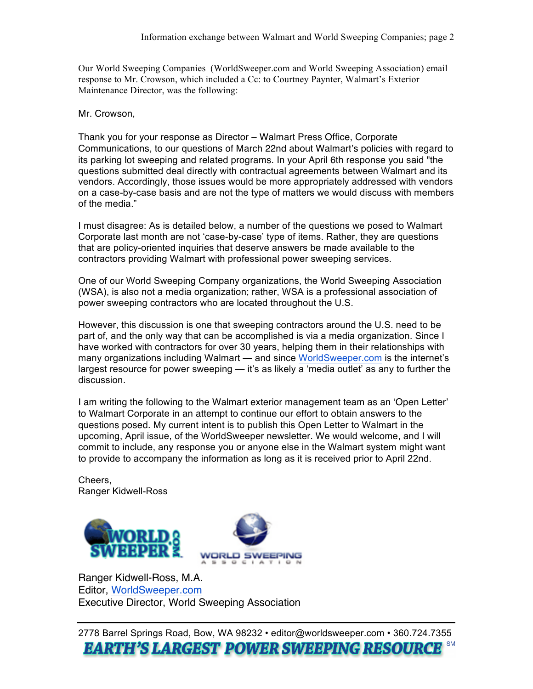Our World Sweeping Companies (WorldSweeper.com and World Sweeping Association) email response to Mr. Crowson, which included a Cc: to Courtney Paynter, Walmart's Exterior Maintenance Director, was the following:

## Mr. Crowson,

Thank you for your response as Director – Walmart Press Office, Corporate Communications, to our questions of March 22nd about Walmart's policies with regard to its parking lot sweeping and related programs. In your April 6th response you said "the questions submitted deal directly with contractual agreements between Walmart and its vendors. Accordingly, those issues would be more appropriately addressed with vendors on a case-by-case basis and are not the type of matters we would discuss with members of the media."

I must disagree: As is detailed below, a number of the questions we posed to Walmart Corporate last month are not 'case-by-case' type of items. Rather, they are questions that are policy-oriented inquiries that deserve answers be made available to the contractors providing Walmart with professional power sweeping services.

One of our World Sweeping Company organizations, the World Sweeping Association (WSA), is also not a media organization; rather, WSA is a professional association of power sweeping contractors who are located throughout the U.S.

However, this discussion is one that sweeping contractors around the U.S. need to be part of, and the only way that can be accomplished is via a media organization. Since I have worked with contractors for over 30 years, helping them in their relationships with many organizations including Walmart - and since WorldSweeper.com is the internet's largest resource for power sweeping — it's as likely a 'media outlet' as any to further the discussion.

I am writing the following to the Walmart exterior management team as an 'Open Letter' to Walmart Corporate in an attempt to continue our effort to obtain answers to the questions posed. My current intent is to publish this Open Letter to Walmart in the upcoming, April issue, of the WorldSweeper newsletter. We would welcome, and I will commit to include, any response you or anyone else in the Walmart system might want to provide to accompany the information as long as it is received prior to April 22nd.

Cheers, Ranger Kidwell-Ross



Ranger Kidwell-Ross, M.A. Editor, WorldSweeper.com Executive Director, World Sweeping Association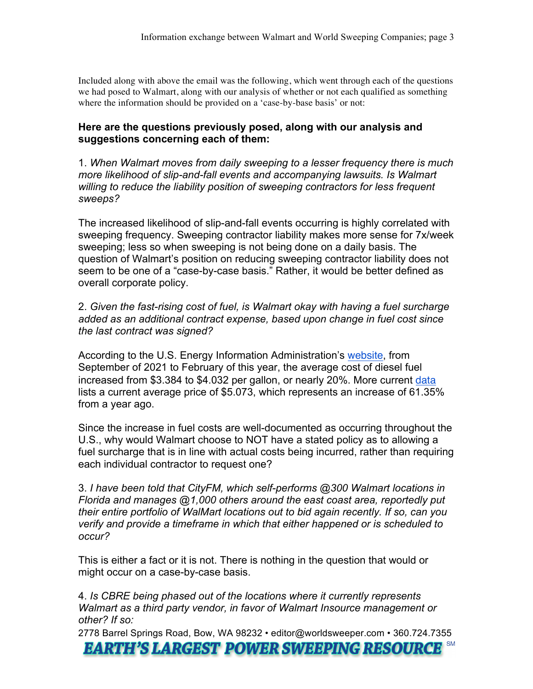Included along with above the email was the following, which went through each of the questions we had posed to Walmart, along with our analysis of whether or not each qualified as something where the information should be provided on a 'case-by-base basis' or not:

## **Here are the questions previously posed, along with our analysis and suggestions concerning each of them:**

1. *When Walmart moves from daily sweeping to a lesser frequency there is much more likelihood of slip-and-fall events and accompanying lawsuits. Is Walmart willing to reduce the liability position of sweeping contractors for less frequent sweeps?*

The increased likelihood of slip-and-fall events occurring is highly correlated with sweeping frequency. Sweeping contractor liability makes more sense for 7x/week sweeping; less so when sweeping is not being done on a daily basis. The question of Walmart's position on reducing sweeping contractor liability does not seem to be one of a "case-by-case basis." Rather, it would be better defined as overall corporate policy.

2. *Given the fast-rising cost of fuel, is Walmart okay with having a fuel surcharge added as an additional contract expense, based upon change in fuel cost since the last contract was signed?*

According to the U.S. Energy Information Administration's website, from September of 2021 to February of this year, the average cost of diesel fuel increased from \$3.384 to \$4.032 per gallon, or nearly 20%. More current data lists a current average price of \$5.073, which represents an increase of 61.35% from a year ago.

Since the increase in fuel costs are well-documented as occurring throughout the U.S., why would Walmart choose to NOT have a stated policy as to allowing a fuel surcharge that is in line with actual costs being incurred, rather than requiring each individual contractor to request one?

3. *I have been told that CityFM, which self-performs @300 Walmart locations in Florida and manages @1,000 others around the east coast area, reportedly put their entire portfolio of WalMart locations out to bid again recently. If so, can you verify and provide a timeframe in which that either happened or is scheduled to occur?*

This is either a fact or it is not. There is nothing in the question that would or might occur on a case-by-case basis.

4. *Is CBRE being phased out of the locations where it currently represents Walmart as a third party vendor, in favor of Walmart Insource management or other? If so:* 

2778 Barrel Springs Road, Bow, WA 98232 • editor@worldsweeper.com • 360.724.7355

**EARTH'S LARGEST POWER SWEEPING RESOURCE**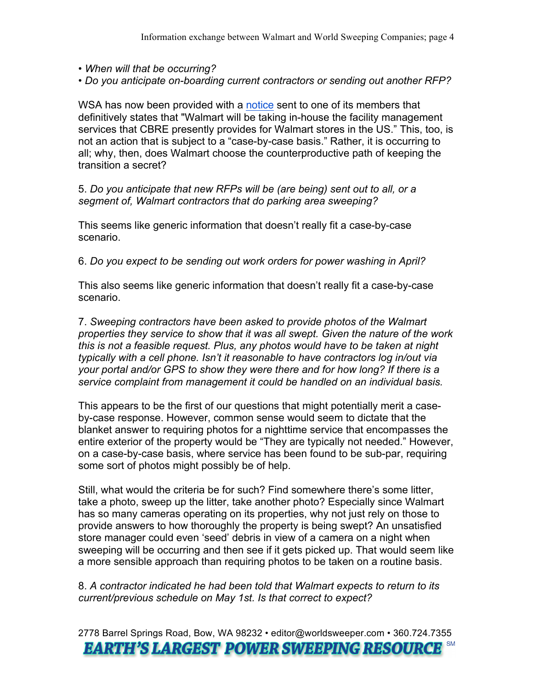*• When will that be occurring?* 

*• Do you anticipate on-boarding current contractors or sending out another RFP?* 

WSA has now been provided with a notice sent to one of its members that definitively states that "Walmart will be taking in-house the facility management services that CBRE presently provides for Walmart stores in the US." This, too, is not an action that is subject to a "case-by-case basis." Rather, it is occurring to all; why, then, does Walmart choose the counterproductive path of keeping the transition a secret?

5. *Do you anticipate that new RFPs will be (are being) sent out to all, or a segment of, Walmart contractors that do parking area sweeping?*

This seems like generic information that doesn't really fit a case-by-case scenario.

6. *Do you expect to be sending out work orders for power washing in April?* 

This also seems like generic information that doesn't really fit a case-by-case scenario.

7. *Sweeping contractors have been asked to provide photos of the Walmart properties they service to show that it was all swept. Given the nature of the work this is not a feasible request. Plus, any photos would have to be taken at night typically with a cell phone. Isn't it reasonable to have contractors log in/out via your portal and/or GPS to show they were there and for how long? If there is a service complaint from management it could be handled on an individual basis.* 

This appears to be the first of our questions that might potentially merit a caseby-case response. However, common sense would seem to dictate that the blanket answer to requiring photos for a nighttime service that encompasses the entire exterior of the property would be "They are typically not needed." However, on a case-by-case basis, where service has been found to be sub-par, requiring some sort of photos might possibly be of help.

Still, what would the criteria be for such? Find somewhere there's some litter, take a photo, sweep up the litter, take another photo? Especially since Walmart has so many cameras operating on its properties, why not just rely on those to provide answers to how thoroughly the property is being swept? An unsatisfied store manager could even 'seed' debris in view of a camera on a night when sweeping will be occurring and then see if it gets picked up. That would seem like a more sensible approach than requiring photos to be taken on a routine basis.

8. *A contractor indicated he had been told that Walmart expects to return to its current/previous schedule on May 1st. Is that correct to expect?*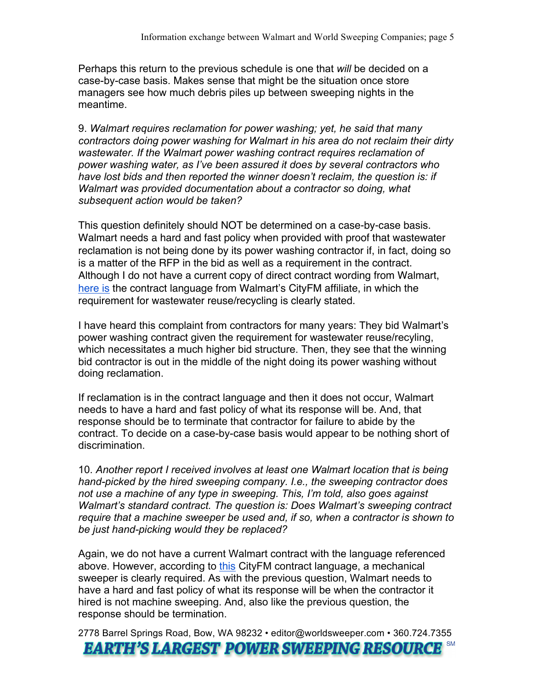Perhaps this return to the previous schedule is one that *will* be decided on a case-by-case basis. Makes sense that might be the situation once store managers see how much debris piles up between sweeping nights in the meantime.

9. *Walmart requires reclamation for power washing; yet, he said that many contractors doing power washing for Walmart in his area do not reclaim their dirty wastewater. If the Walmart power washing contract requires reclamation of power washing water, as I've been assured it does by several contractors who have lost bids and then reported the winner doesn't reclaim, the question is: if Walmart was provided documentation about a contractor so doing, what subsequent action would be taken?*

This question definitely should NOT be determined on a case-by-case basis. Walmart needs a hard and fast policy when provided with proof that wastewater reclamation is not being done by its power washing contractor if, in fact, doing so is a matter of the RFP in the bid as well as a requirement in the contract. Although I do not have a current copy of direct contract wording from Walmart, here is the contract language from Walmart's CityFM affiliate, in which the requirement for wastewater reuse/recycling is clearly stated.

I have heard this complaint from contractors for many years: They bid Walmart's power washing contract given the requirement for wastewater reuse/recyling, which necessitates a much higher bid structure. Then, they see that the winning bid contractor is out in the middle of the night doing its power washing without doing reclamation.

If reclamation is in the contract language and then it does not occur, Walmart needs to have a hard and fast policy of what its response will be. And, that response should be to terminate that contractor for failure to abide by the contract. To decide on a case-by-case basis would appear to be nothing short of discrimination.

10. *Another report I received involves at least one Walmart location that is being hand-picked by the hired sweeping company. I.e., the sweeping contractor does not use a machine of any type in sweeping. This, I'm told, also goes against Walmart's standard contract. The question is: Does Walmart's sweeping contract require that a machine sweeper be used and, if so, when a contractor is shown to be just hand-picking would they be replaced?* 

Again, we do not have a current Walmart contract with the language referenced above. However, according to this CityFM contract language, a mechanical sweeper is clearly required. As with the previous question, Walmart needs to have a hard and fast policy of what its response will be when the contractor it hired is not machine sweeping. And, also like the previous question, the response should be termination.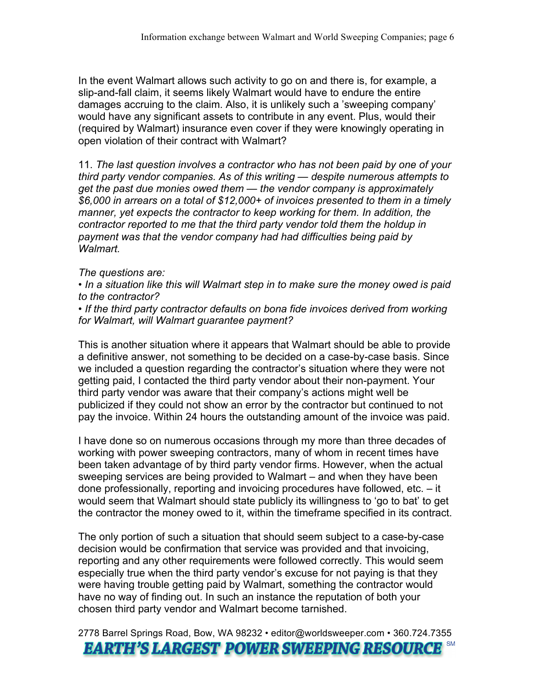In the event Walmart allows such activity to go on and there is, for example, a slip-and-fall claim, it seems likely Walmart would have to endure the entire damages accruing to the claim. Also, it is unlikely such a 'sweeping company' would have any significant assets to contribute in any event. Plus, would their (required by Walmart) insurance even cover if they were knowingly operating in open violation of their contract with Walmart?

11. *The last question involves a contractor who has not been paid by one of your third party vendor companies. As of this writing — despite numerous attempts to get the past due monies owed them — the vendor company is approximately \$6,000 in arrears on a total of \$12,000+ of invoices presented to them in a timely manner, yet expects the contractor to keep working for them. In addition, the contractor reported to me that the third party vendor told them the holdup in payment was that the vendor company had had difficulties being paid by Walmart.* 

## *The questions are:*

*• In a situation like this will Walmart step in to make sure the money owed is paid to the contractor?* 

• If the third party contractor defaults on bona fide invoices derived from working *for Walmart, will Walmart guarantee payment?* 

This is another situation where it appears that Walmart should be able to provide a definitive answer, not something to be decided on a case-by-case basis. Since we included a question regarding the contractor's situation where they were not getting paid, I contacted the third party vendor about their non-payment. Your third party vendor was aware that their company's actions might well be publicized if they could not show an error by the contractor but continued to not pay the invoice. Within 24 hours the outstanding amount of the invoice was paid.

I have done so on numerous occasions through my more than three decades of working with power sweeping contractors, many of whom in recent times have been taken advantage of by third party vendor firms. However, when the actual sweeping services are being provided to Walmart – and when they have been done professionally, reporting and invoicing procedures have followed, etc. – it would seem that Walmart should state publicly its willingness to 'go to bat' to get the contractor the money owed to it, within the timeframe specified in its contract.

The only portion of such a situation that should seem subject to a case-by-case decision would be confirmation that service was provided and that invoicing, reporting and any other requirements were followed correctly. This would seem especially true when the third party vendor's excuse for not paying is that they were having trouble getting paid by Walmart, something the contractor would have no way of finding out. In such an instance the reputation of both your chosen third party vendor and Walmart become tarnished.